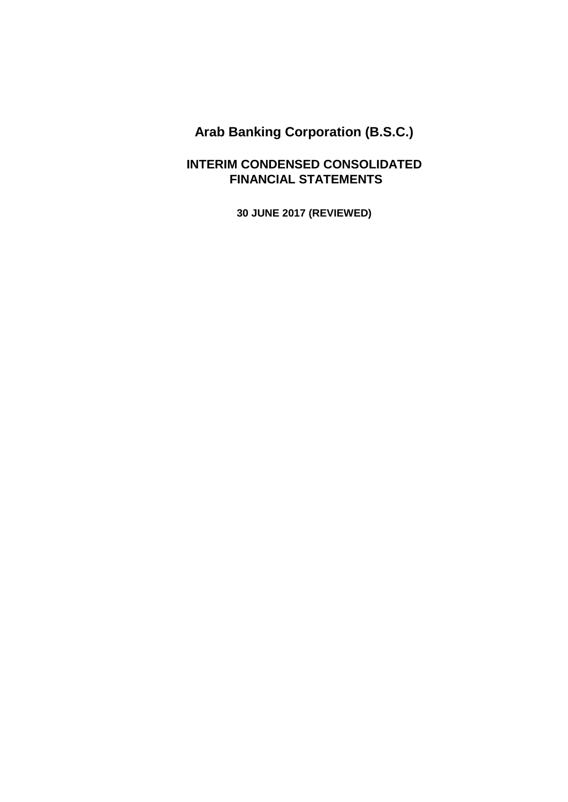### **INTERIM CONDENSED CONSOLIDATED FINANCIAL STATEMENTS**

**30 JUNE 2017 (REVIEWED)**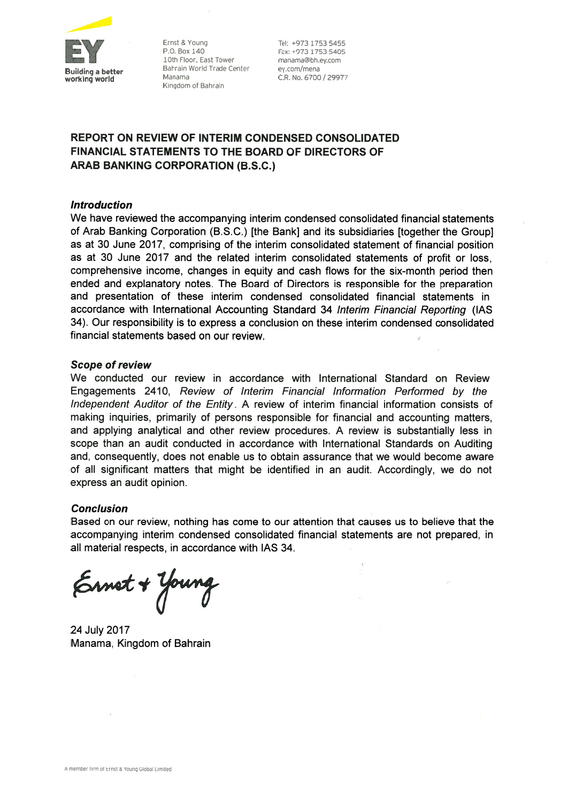

Ernst & Young P.O. Box 140 10th Floor, East Tower Bahrain World Trade Center Manama Kingdom of Bahrain

Tel: +973 1753 5455 Fax: +973 1753 5405 manama@bh.ev.com ey.com/mena C.R. No. 6700 / 29977

### REPORT ON REVIEW OF INTERIM CONDENSED CONSOLIDATED **FINANCIAL STATEMENTS TO THE BOARD OF DIRECTORS OF ARAB BANKING CORPORATION (B.S.C.)**

#### **Introduction**

We have reviewed the accompanying interim condensed consolidated financial statements of Arab Banking Corporation (B.S.C.) [the Bank] and its subsidiaries [together the Group] as at 30 June 2017, comprising of the interim consolidated statement of financial position as at 30 June 2017 and the related interim consolidated statements of profit or loss, comprehensive income, changes in equity and cash flows for the six-month period then ended and explanatory notes. The Board of Directors is responsible for the preparation and presentation of these interim condensed consolidated financial statements in accordance with International Accounting Standard 34 Interim Financial Reporting (IAS 34). Our responsibility is to express a conclusion on these interim condensed consolidated financial statements based on our review.

#### **Scope of review**

We conducted our review in accordance with International Standard on Review Engagements 2410, Review of Interim Financial Information Performed by the Independent Auditor of the Entity. A review of interim financial information consists of making inquiries, primarily of persons responsible for financial and accounting matters, and applying analytical and other review procedures. A review is substantially less in scope than an audit conducted in accordance with International Standards on Auditing and, consequently, does not enable us to obtain assurance that we would become aware of all significant matters that might be identified in an audit. Accordingly, we do not express an audit opinion.

#### **Conclusion**

Based on our review, nothing has come to our attention that causes us to believe that the accompanying interim condensed consolidated financial statements are not prepared, in all material respects, in accordance with IAS 34.

Ernot + Young

24 July 2017 Manama, Kingdom of Bahrain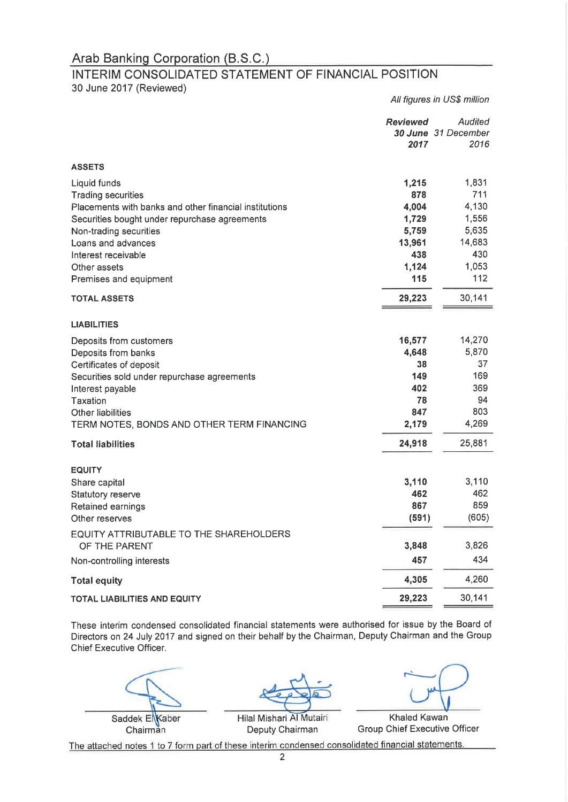### INTERIM CONSOLIDATED STATEMENT OF FINANCIAL POSITION

30 June 2017 (Reviewed)

All figures in US\$ million

|                                                                                                         | <b>Reviewed</b><br>2017 | Audited<br>30 June 31 December<br>2016 |
|---------------------------------------------------------------------------------------------------------|-------------------------|----------------------------------------|
| <b>ASSETS</b>                                                                                           |                         |                                        |
| Liquid funds<br><b>Trading securities</b>                                                               | 1,215<br>878            | 1,831<br>711                           |
| Placements with banks and other financial institutions<br>Securities bought under repurchase agreements | 4,004<br>1,729          | 4,130<br>1,556                         |
| Non-trading securities<br>Loans and advances                                                            | 5,759<br>13,961         | 5,635<br>14,683                        |
| Interest receivable<br>Other assets                                                                     | 438<br>1,124<br>115     | 430<br>1,053<br>112                    |
| Premises and equipment                                                                                  |                         |                                        |
| <b>TOTAL ASSETS</b>                                                                                     | 29,223                  | 30,141                                 |
| <b>LIABILITIES</b>                                                                                      |                         |                                        |
| Deposits from customers<br>Deposits from banks                                                          | 16,577<br>4,648         | 14,270<br>5,870                        |
| Certificates of deposit<br>Securities sold under repurchase agreements                                  | 38<br>149               | 37<br>169                              |
| Interest payable                                                                                        | 402                     | 369                                    |
| Taxation<br><b>Other liabilities</b>                                                                    | 78<br>847               | 94<br>803                              |
| TERM NOTES, BONDS AND OTHER TERM FINANCING                                                              | 2,179                   | 4,269                                  |
| <b>Total liabilities</b>                                                                                | 24,918                  | 25,881                                 |
| <b>EQUITY</b>                                                                                           |                         |                                        |
| Share capital                                                                                           | 3,110                   | 3,110<br>462                           |
| Statutory reserve<br>Retained earnings                                                                  | 462<br>867              | 859                                    |
| Other reserves                                                                                          | (591)                   | (605)                                  |
| EQUITY ATTRIBUTABLE TO THE SHAREHOLDERS<br>OF THE PARENT                                                | 3,848                   | 3,826                                  |
| Non-controlling interests                                                                               | 457                     | 434                                    |
| <b>Total equity</b>                                                                                     | 4,305                   | 4,260                                  |
| <b>TOTAL LIABILITIES AND EQUITY</b>                                                                     | 29,223                  | 30,141                                 |

These interim condensed consolidated financial statements were authorised for issue by the Board of Directors on 24 July 2017 and signed on their behalf by the Chairman, Deputy Chairman and the Group Chief Executive Officer.

Saddek El Kaber Chairman

Hilal Mishari Al Mutairi Deputy Chairman

**Khaled Kawan Group Chief Executive Officer**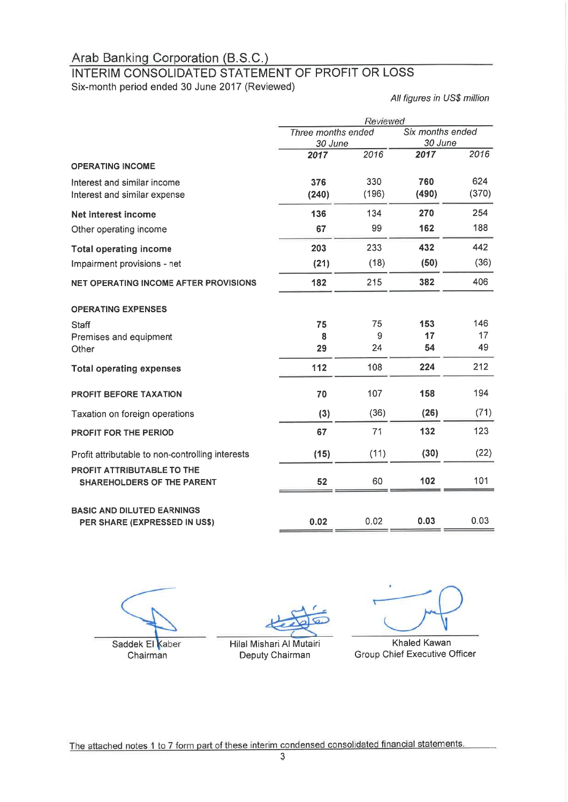### INTERIM CONSOLIDATED STATEMENT OF PROFIT OR LOSS

Six-month period ended 30 June 2017 (Reviewed)

All figures in US\$ million

|                                                                    | Reviewed           |       |                  |       |  |
|--------------------------------------------------------------------|--------------------|-------|------------------|-------|--|
|                                                                    | Three months ended |       | Six months ended |       |  |
|                                                                    | 30 June            |       | 30 June          |       |  |
|                                                                    | 2017               | 2016  | 2017             | 2016  |  |
| <b>OPERATING INCOME</b>                                            |                    |       |                  |       |  |
| Interest and similar income                                        | 376                | 330   | 760              | 624   |  |
| Interest and similar expense                                       | (240)              | (196) | (490)            | (370) |  |
| Net interest income                                                | 136                | 134   | 270              | 254   |  |
| Other operating income                                             | 67                 | 99    | 162              | 188   |  |
| <b>Total operating income</b>                                      | 203                | 233   | 432              | 442   |  |
| Impairment provisions - net                                        | (21)               | (18)  | (50)             | (36)  |  |
| <b>NET OPERATING INCOME AFTER PROVISIONS</b>                       | 182                | 215   | 382              | 406   |  |
| <b>OPERATING EXPENSES</b>                                          |                    |       |                  |       |  |
| <b>Staff</b>                                                       | 75                 | 75    | 153              | 146   |  |
| Premises and equipment                                             | 8                  | 9     | 17               | 17    |  |
| Other                                                              | 29                 | 24    | 54               | 49    |  |
| <b>Total operating expenses</b>                                    | 112                | 108   | 224              | 212   |  |
| PROFIT BEFORE TAXATION                                             | 70                 | 107   | 158              | 194   |  |
| Taxation on foreign operations                                     | (3)                | (36)  | (26)             | (71)  |  |
| PROFIT FOR THE PERIOD                                              | 67                 | 71    | 132              | 123   |  |
| Profit attributable to non-controlling interests                   | (15)               | (11)  | (30)             | (22)  |  |
| PROFIT ATTRIBUTABLE TO THE<br><b>SHAREHOLDERS OF THE PARENT</b>    | 52                 | 60    | 102              | 101   |  |
|                                                                    |                    |       |                  |       |  |
| <b>BASIC AND DILUTED EARNINGS</b><br>PER SHARE (EXPRESSED IN US\$) | 0.02               | 0.02  | 0.03             | 0.03  |  |

Saddek El Kaber

Chairman

Hilal Mishari Al Mutairi

Deputy Chairman

**Khaled Kawan Group Chief Executive Officer**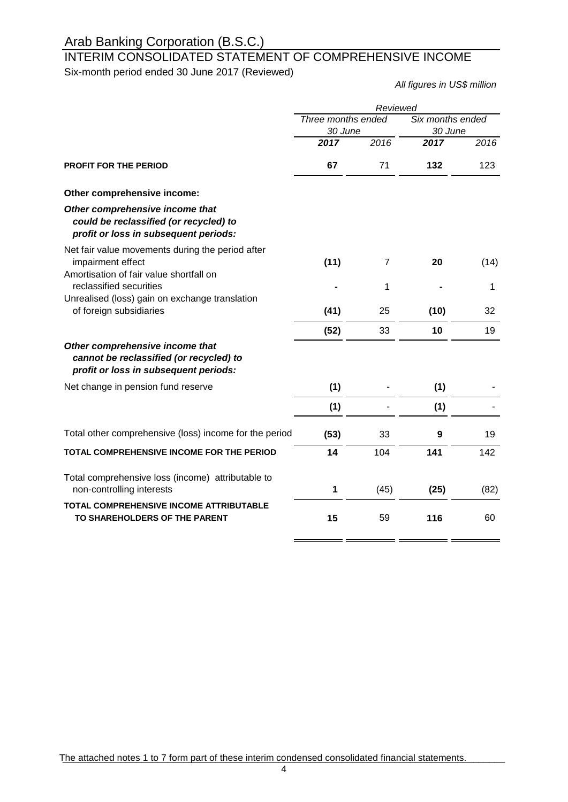# INTERIM CONSOLIDATED STATEMENT OF COMPREHENSIVE INCOME

Six-month period ended 30 June 2017 (Reviewed)

*All figures in US\$ million*

|                                                                                                                     | Reviewed           |      |                  |      |
|---------------------------------------------------------------------------------------------------------------------|--------------------|------|------------------|------|
|                                                                                                                     | Three months ended |      | Six months ended |      |
|                                                                                                                     | 30 June<br>2017    | 2016 | 30 June<br>2017  | 2016 |
| <b>PROFIT FOR THE PERIOD</b>                                                                                        | 67                 | 71   | 132              | 123  |
| Other comprehensive income:                                                                                         |                    |      |                  |      |
| Other comprehensive income that<br>could be reclassified (or recycled) to<br>profit or loss in subsequent periods:  |                    |      |                  |      |
| Net fair value movements during the period after<br>impairment effect                                               | (11)               | 7    | 20               | (14) |
| Amortisation of fair value shortfall on<br>reclassified securities                                                  |                    | 1    |                  | 1    |
| Unrealised (loss) gain on exchange translation<br>of foreign subsidiaries                                           | (41)               | 25   | (10)             | 32   |
|                                                                                                                     | (52)               | 33   | 10               | 19   |
| Other comprehensive income that<br>cannot be reclassified (or recycled) to<br>profit or loss in subsequent periods: |                    |      |                  |      |
| Net change in pension fund reserve                                                                                  | (1)                |      | (1)              |      |
|                                                                                                                     | (1)                |      | (1)              |      |
| Total other comprehensive (loss) income for the period                                                              | (53)               | 33   | 9                | 19   |
| TOTAL COMPREHENSIVE INCOME FOR THE PERIOD                                                                           | 14                 | 104  | 141              | 142  |
| Total comprehensive loss (income) attributable to<br>non-controlling interests                                      | 1                  | (45) | (25)             | (82) |
| TOTAL COMPREHENSIVE INCOME ATTRIBUTABLE<br>TO SHAREHOLDERS OF THE PARENT                                            | 15                 | 59   | 116              | 60   |
|                                                                                                                     |                    |      |                  |      |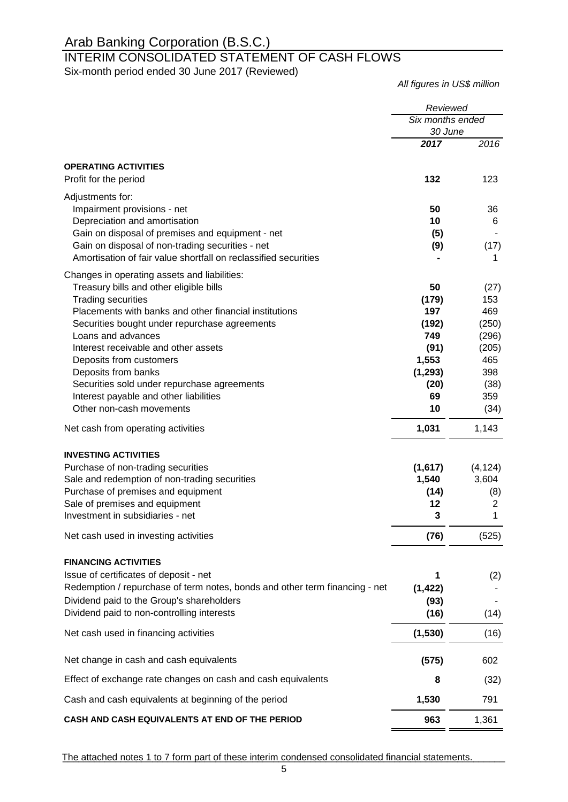### INTERIM CONSOLIDATED STATEMENT OF CASH FLOWS Six-month period ended 30 June 2017 (Reviewed)

*All figures in US\$ million*

| Six months ended<br>30 June<br>2017<br>2016<br><b>OPERATING ACTIVITIES</b><br>132<br>123<br>Profit for the period<br>Adjustments for:<br>Impairment provisions - net<br>50<br>36<br>Depreciation and amortisation<br>10<br>6<br>Gain on disposal of premises and equipment - net<br>(5)<br>Gain on disposal of non-trading securities - net<br>(9)<br>(17)<br>Amortisation of fair value shortfall on reclassified securities<br>1<br>Changes in operating assets and liabilities:<br>Treasury bills and other eligible bills<br>50<br>(27)<br><b>Trading securities</b><br>153<br>(179)<br>Placements with banks and other financial institutions<br>197<br>469<br>(192)<br>(250)<br>Securities bought under repurchase agreements<br>749<br>Loans and advances<br>(296)<br>Interest receivable and other assets<br>(91)<br>(205)<br>1,553<br>465<br>Deposits from customers<br>Deposits from banks<br>398<br>(1, 293)<br>Securities sold under repurchase agreements<br>(20)<br>(38)<br>Interest payable and other liabilities<br>69<br>359<br>Other non-cash movements<br>10<br>(34)<br>1,031<br>1,143<br>Net cash from operating activities<br><b>INVESTING ACTIVITIES</b><br>(4, 124)<br>Purchase of non-trading securities<br>(1,617)<br>Sale and redemption of non-trading securities<br>3,604<br>1,540<br>Purchase of premises and equipment<br>(14)<br>(8)<br>Sale of premises and equipment<br>12<br>2<br>Investment in subsidiaries - net<br>3<br>1<br>(76)<br>(525)<br>Net cash used in investing activities<br><b>FINANCING ACTIVITIES</b><br>Issue of certificates of deposit - net<br>1<br>(2)<br>Redemption / repurchase of term notes, bonds and other term financing - net<br>(1, 422)<br>Dividend paid to the Group's shareholders<br>(93)<br>Dividend paid to non-controlling interests<br>(16)<br>(14)<br>Net cash used in financing activities<br>(1, 530)<br>(16)<br>Net change in cash and cash equivalents<br>(575)<br>602<br>Effect of exchange rate changes on cash and cash equivalents<br>(32)<br>8<br>Cash and cash equivalents at beginning of the period<br>1,530<br>791<br>CASH AND CASH EQUIVALENTS AT END OF THE PERIOD<br>963 | Reviewed |       |
|-------------------------------------------------------------------------------------------------------------------------------------------------------------------------------------------------------------------------------------------------------------------------------------------------------------------------------------------------------------------------------------------------------------------------------------------------------------------------------------------------------------------------------------------------------------------------------------------------------------------------------------------------------------------------------------------------------------------------------------------------------------------------------------------------------------------------------------------------------------------------------------------------------------------------------------------------------------------------------------------------------------------------------------------------------------------------------------------------------------------------------------------------------------------------------------------------------------------------------------------------------------------------------------------------------------------------------------------------------------------------------------------------------------------------------------------------------------------------------------------------------------------------------------------------------------------------------------------------------------------------------------------------------------------------------------------------------------------------------------------------------------------------------------------------------------------------------------------------------------------------------------------------------------------------------------------------------------------------------------------------------------------------------------------------------------------------------------------------------------------------------------------------------------------|----------|-------|
|                                                                                                                                                                                                                                                                                                                                                                                                                                                                                                                                                                                                                                                                                                                                                                                                                                                                                                                                                                                                                                                                                                                                                                                                                                                                                                                                                                                                                                                                                                                                                                                                                                                                                                                                                                                                                                                                                                                                                                                                                                                                                                                                                                   |          |       |
|                                                                                                                                                                                                                                                                                                                                                                                                                                                                                                                                                                                                                                                                                                                                                                                                                                                                                                                                                                                                                                                                                                                                                                                                                                                                                                                                                                                                                                                                                                                                                                                                                                                                                                                                                                                                                                                                                                                                                                                                                                                                                                                                                                   |          |       |
|                                                                                                                                                                                                                                                                                                                                                                                                                                                                                                                                                                                                                                                                                                                                                                                                                                                                                                                                                                                                                                                                                                                                                                                                                                                                                                                                                                                                                                                                                                                                                                                                                                                                                                                                                                                                                                                                                                                                                                                                                                                                                                                                                                   |          |       |
|                                                                                                                                                                                                                                                                                                                                                                                                                                                                                                                                                                                                                                                                                                                                                                                                                                                                                                                                                                                                                                                                                                                                                                                                                                                                                                                                                                                                                                                                                                                                                                                                                                                                                                                                                                                                                                                                                                                                                                                                                                                                                                                                                                   |          |       |
|                                                                                                                                                                                                                                                                                                                                                                                                                                                                                                                                                                                                                                                                                                                                                                                                                                                                                                                                                                                                                                                                                                                                                                                                                                                                                                                                                                                                                                                                                                                                                                                                                                                                                                                                                                                                                                                                                                                                                                                                                                                                                                                                                                   |          |       |
|                                                                                                                                                                                                                                                                                                                                                                                                                                                                                                                                                                                                                                                                                                                                                                                                                                                                                                                                                                                                                                                                                                                                                                                                                                                                                                                                                                                                                                                                                                                                                                                                                                                                                                                                                                                                                                                                                                                                                                                                                                                                                                                                                                   |          |       |
|                                                                                                                                                                                                                                                                                                                                                                                                                                                                                                                                                                                                                                                                                                                                                                                                                                                                                                                                                                                                                                                                                                                                                                                                                                                                                                                                                                                                                                                                                                                                                                                                                                                                                                                                                                                                                                                                                                                                                                                                                                                                                                                                                                   |          |       |
|                                                                                                                                                                                                                                                                                                                                                                                                                                                                                                                                                                                                                                                                                                                                                                                                                                                                                                                                                                                                                                                                                                                                                                                                                                                                                                                                                                                                                                                                                                                                                                                                                                                                                                                                                                                                                                                                                                                                                                                                                                                                                                                                                                   |          |       |
|                                                                                                                                                                                                                                                                                                                                                                                                                                                                                                                                                                                                                                                                                                                                                                                                                                                                                                                                                                                                                                                                                                                                                                                                                                                                                                                                                                                                                                                                                                                                                                                                                                                                                                                                                                                                                                                                                                                                                                                                                                                                                                                                                                   |          |       |
|                                                                                                                                                                                                                                                                                                                                                                                                                                                                                                                                                                                                                                                                                                                                                                                                                                                                                                                                                                                                                                                                                                                                                                                                                                                                                                                                                                                                                                                                                                                                                                                                                                                                                                                                                                                                                                                                                                                                                                                                                                                                                                                                                                   |          |       |
|                                                                                                                                                                                                                                                                                                                                                                                                                                                                                                                                                                                                                                                                                                                                                                                                                                                                                                                                                                                                                                                                                                                                                                                                                                                                                                                                                                                                                                                                                                                                                                                                                                                                                                                                                                                                                                                                                                                                                                                                                                                                                                                                                                   |          |       |
|                                                                                                                                                                                                                                                                                                                                                                                                                                                                                                                                                                                                                                                                                                                                                                                                                                                                                                                                                                                                                                                                                                                                                                                                                                                                                                                                                                                                                                                                                                                                                                                                                                                                                                                                                                                                                                                                                                                                                                                                                                                                                                                                                                   |          |       |
|                                                                                                                                                                                                                                                                                                                                                                                                                                                                                                                                                                                                                                                                                                                                                                                                                                                                                                                                                                                                                                                                                                                                                                                                                                                                                                                                                                                                                                                                                                                                                                                                                                                                                                                                                                                                                                                                                                                                                                                                                                                                                                                                                                   |          |       |
|                                                                                                                                                                                                                                                                                                                                                                                                                                                                                                                                                                                                                                                                                                                                                                                                                                                                                                                                                                                                                                                                                                                                                                                                                                                                                                                                                                                                                                                                                                                                                                                                                                                                                                                                                                                                                                                                                                                                                                                                                                                                                                                                                                   |          |       |
|                                                                                                                                                                                                                                                                                                                                                                                                                                                                                                                                                                                                                                                                                                                                                                                                                                                                                                                                                                                                                                                                                                                                                                                                                                                                                                                                                                                                                                                                                                                                                                                                                                                                                                                                                                                                                                                                                                                                                                                                                                                                                                                                                                   |          |       |
|                                                                                                                                                                                                                                                                                                                                                                                                                                                                                                                                                                                                                                                                                                                                                                                                                                                                                                                                                                                                                                                                                                                                                                                                                                                                                                                                                                                                                                                                                                                                                                                                                                                                                                                                                                                                                                                                                                                                                                                                                                                                                                                                                                   |          |       |
|                                                                                                                                                                                                                                                                                                                                                                                                                                                                                                                                                                                                                                                                                                                                                                                                                                                                                                                                                                                                                                                                                                                                                                                                                                                                                                                                                                                                                                                                                                                                                                                                                                                                                                                                                                                                                                                                                                                                                                                                                                                                                                                                                                   |          |       |
|                                                                                                                                                                                                                                                                                                                                                                                                                                                                                                                                                                                                                                                                                                                                                                                                                                                                                                                                                                                                                                                                                                                                                                                                                                                                                                                                                                                                                                                                                                                                                                                                                                                                                                                                                                                                                                                                                                                                                                                                                                                                                                                                                                   |          |       |
|                                                                                                                                                                                                                                                                                                                                                                                                                                                                                                                                                                                                                                                                                                                                                                                                                                                                                                                                                                                                                                                                                                                                                                                                                                                                                                                                                                                                                                                                                                                                                                                                                                                                                                                                                                                                                                                                                                                                                                                                                                                                                                                                                                   |          |       |
|                                                                                                                                                                                                                                                                                                                                                                                                                                                                                                                                                                                                                                                                                                                                                                                                                                                                                                                                                                                                                                                                                                                                                                                                                                                                                                                                                                                                                                                                                                                                                                                                                                                                                                                                                                                                                                                                                                                                                                                                                                                                                                                                                                   |          |       |
|                                                                                                                                                                                                                                                                                                                                                                                                                                                                                                                                                                                                                                                                                                                                                                                                                                                                                                                                                                                                                                                                                                                                                                                                                                                                                                                                                                                                                                                                                                                                                                                                                                                                                                                                                                                                                                                                                                                                                                                                                                                                                                                                                                   |          |       |
|                                                                                                                                                                                                                                                                                                                                                                                                                                                                                                                                                                                                                                                                                                                                                                                                                                                                                                                                                                                                                                                                                                                                                                                                                                                                                                                                                                                                                                                                                                                                                                                                                                                                                                                                                                                                                                                                                                                                                                                                                                                                                                                                                                   |          |       |
|                                                                                                                                                                                                                                                                                                                                                                                                                                                                                                                                                                                                                                                                                                                                                                                                                                                                                                                                                                                                                                                                                                                                                                                                                                                                                                                                                                                                                                                                                                                                                                                                                                                                                                                                                                                                                                                                                                                                                                                                                                                                                                                                                                   |          |       |
|                                                                                                                                                                                                                                                                                                                                                                                                                                                                                                                                                                                                                                                                                                                                                                                                                                                                                                                                                                                                                                                                                                                                                                                                                                                                                                                                                                                                                                                                                                                                                                                                                                                                                                                                                                                                                                                                                                                                                                                                                                                                                                                                                                   |          |       |
|                                                                                                                                                                                                                                                                                                                                                                                                                                                                                                                                                                                                                                                                                                                                                                                                                                                                                                                                                                                                                                                                                                                                                                                                                                                                                                                                                                                                                                                                                                                                                                                                                                                                                                                                                                                                                                                                                                                                                                                                                                                                                                                                                                   |          |       |
|                                                                                                                                                                                                                                                                                                                                                                                                                                                                                                                                                                                                                                                                                                                                                                                                                                                                                                                                                                                                                                                                                                                                                                                                                                                                                                                                                                                                                                                                                                                                                                                                                                                                                                                                                                                                                                                                                                                                                                                                                                                                                                                                                                   |          |       |
|                                                                                                                                                                                                                                                                                                                                                                                                                                                                                                                                                                                                                                                                                                                                                                                                                                                                                                                                                                                                                                                                                                                                                                                                                                                                                                                                                                                                                                                                                                                                                                                                                                                                                                                                                                                                                                                                                                                                                                                                                                                                                                                                                                   |          |       |
|                                                                                                                                                                                                                                                                                                                                                                                                                                                                                                                                                                                                                                                                                                                                                                                                                                                                                                                                                                                                                                                                                                                                                                                                                                                                                                                                                                                                                                                                                                                                                                                                                                                                                                                                                                                                                                                                                                                                                                                                                                                                                                                                                                   |          |       |
|                                                                                                                                                                                                                                                                                                                                                                                                                                                                                                                                                                                                                                                                                                                                                                                                                                                                                                                                                                                                                                                                                                                                                                                                                                                                                                                                                                                                                                                                                                                                                                                                                                                                                                                                                                                                                                                                                                                                                                                                                                                                                                                                                                   |          |       |
|                                                                                                                                                                                                                                                                                                                                                                                                                                                                                                                                                                                                                                                                                                                                                                                                                                                                                                                                                                                                                                                                                                                                                                                                                                                                                                                                                                                                                                                                                                                                                                                                                                                                                                                                                                                                                                                                                                                                                                                                                                                                                                                                                                   |          |       |
|                                                                                                                                                                                                                                                                                                                                                                                                                                                                                                                                                                                                                                                                                                                                                                                                                                                                                                                                                                                                                                                                                                                                                                                                                                                                                                                                                                                                                                                                                                                                                                                                                                                                                                                                                                                                                                                                                                                                                                                                                                                                                                                                                                   |          |       |
|                                                                                                                                                                                                                                                                                                                                                                                                                                                                                                                                                                                                                                                                                                                                                                                                                                                                                                                                                                                                                                                                                                                                                                                                                                                                                                                                                                                                                                                                                                                                                                                                                                                                                                                                                                                                                                                                                                                                                                                                                                                                                                                                                                   |          |       |
|                                                                                                                                                                                                                                                                                                                                                                                                                                                                                                                                                                                                                                                                                                                                                                                                                                                                                                                                                                                                                                                                                                                                                                                                                                                                                                                                                                                                                                                                                                                                                                                                                                                                                                                                                                                                                                                                                                                                                                                                                                                                                                                                                                   |          |       |
|                                                                                                                                                                                                                                                                                                                                                                                                                                                                                                                                                                                                                                                                                                                                                                                                                                                                                                                                                                                                                                                                                                                                                                                                                                                                                                                                                                                                                                                                                                                                                                                                                                                                                                                                                                                                                                                                                                                                                                                                                                                                                                                                                                   |          |       |
|                                                                                                                                                                                                                                                                                                                                                                                                                                                                                                                                                                                                                                                                                                                                                                                                                                                                                                                                                                                                                                                                                                                                                                                                                                                                                                                                                                                                                                                                                                                                                                                                                                                                                                                                                                                                                                                                                                                                                                                                                                                                                                                                                                   |          |       |
|                                                                                                                                                                                                                                                                                                                                                                                                                                                                                                                                                                                                                                                                                                                                                                                                                                                                                                                                                                                                                                                                                                                                                                                                                                                                                                                                                                                                                                                                                                                                                                                                                                                                                                                                                                                                                                                                                                                                                                                                                                                                                                                                                                   |          |       |
|                                                                                                                                                                                                                                                                                                                                                                                                                                                                                                                                                                                                                                                                                                                                                                                                                                                                                                                                                                                                                                                                                                                                                                                                                                                                                                                                                                                                                                                                                                                                                                                                                                                                                                                                                                                                                                                                                                                                                                                                                                                                                                                                                                   |          |       |
|                                                                                                                                                                                                                                                                                                                                                                                                                                                                                                                                                                                                                                                                                                                                                                                                                                                                                                                                                                                                                                                                                                                                                                                                                                                                                                                                                                                                                                                                                                                                                                                                                                                                                                                                                                                                                                                                                                                                                                                                                                                                                                                                                                   |          |       |
|                                                                                                                                                                                                                                                                                                                                                                                                                                                                                                                                                                                                                                                                                                                                                                                                                                                                                                                                                                                                                                                                                                                                                                                                                                                                                                                                                                                                                                                                                                                                                                                                                                                                                                                                                                                                                                                                                                                                                                                                                                                                                                                                                                   |          | 1,361 |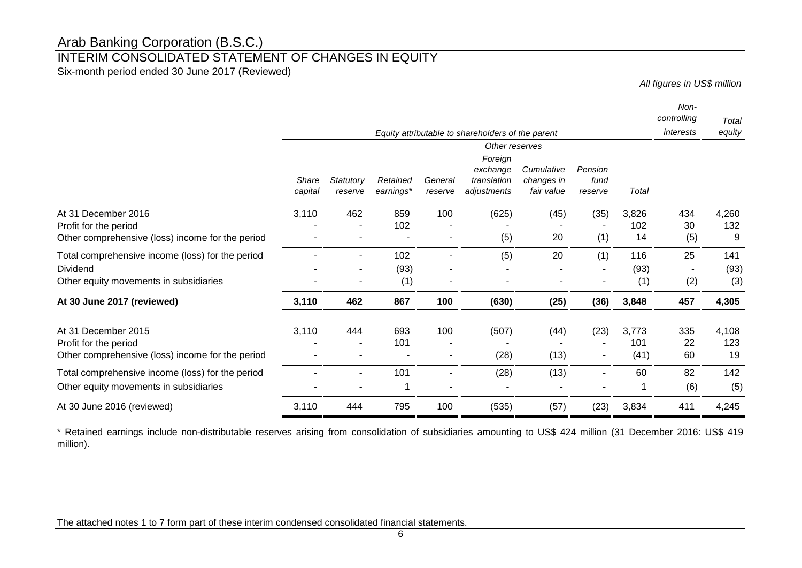### INTERIM CONSOLIDATED STATEMENT OF CHANGES IN EQUITY

Six-month period ended 30 June 2017 (Reviewed)

*All figures in US\$ million*

|                                                                                                        |                  |                      |                       |                     |                                                                     |                                        |                            |                      | Non-<br>controlling | Total              |
|--------------------------------------------------------------------------------------------------------|------------------|----------------------|-----------------------|---------------------|---------------------------------------------------------------------|----------------------------------------|----------------------------|----------------------|---------------------|--------------------|
|                                                                                                        |                  |                      |                       |                     | Equity attributable to shareholders of the parent                   |                                        |                            |                      | interests           | equity             |
|                                                                                                        | Share<br>capital | Statutory<br>reserve | Retained<br>earnings* | General<br>reserve  | Other reserves<br>Foreign<br>exchange<br>translation<br>adjustments | Cumulative<br>changes in<br>fair value | Pension<br>fund<br>reserve | Total                |                     |                    |
| At 31 December 2016<br>Profit for the period<br>Other comprehensive (loss) income for the period       | 3,110            | 462                  | 859<br>102            | 100                 | (625)<br>(5)                                                        | (45)<br>20                             | (35)<br>(1)                | 3,826<br>102<br>14   | 434<br>30<br>(5)    | 4,260<br>132<br>9  |
| Total comprehensive income (loss) for the period<br>Dividend<br>Other equity movements in subsidiaries |                  |                      | 102<br>(93)<br>(1)    | $\blacksquare$<br>٠ | (5)                                                                 | 20                                     | (1)                        | 116<br>(93)<br>(1)   | 25<br>(2)           | 141<br>(93)<br>(3) |
| At 30 June 2017 (reviewed)                                                                             | 3,110            | 462                  | 867                   | 100                 | (630)                                                               | (25)                                   | (36)                       | 3,848                | 457                 | 4,305              |
| At 31 December 2015<br>Profit for the period<br>Other comprehensive (loss) income for the period       | 3,110            | 444                  | 693<br>101            | 100                 | (507)<br>(28)                                                       | (44)<br>(13)                           | (23)                       | 3,773<br>101<br>(41) | 335<br>22<br>60     | 4,108<br>123<br>19 |
| Total comprehensive income (loss) for the period<br>Other equity movements in subsidiaries             |                  |                      | 101                   |                     | (28)                                                                | (13)                                   |                            | 60                   | 82<br>(6)           | 142<br>(5)         |
| At 30 June 2016 (reviewed)                                                                             | 3,110            | 444                  | 795                   | 100                 | (535)                                                               | (57)                                   | (23)                       | 3,834                | 411                 | 4,245              |

\* Retained earnings include non-distributable reserves arising from consolidation of subsidiaries amounting to US\$ 424 million (31 December 2016: US\$ 419 million).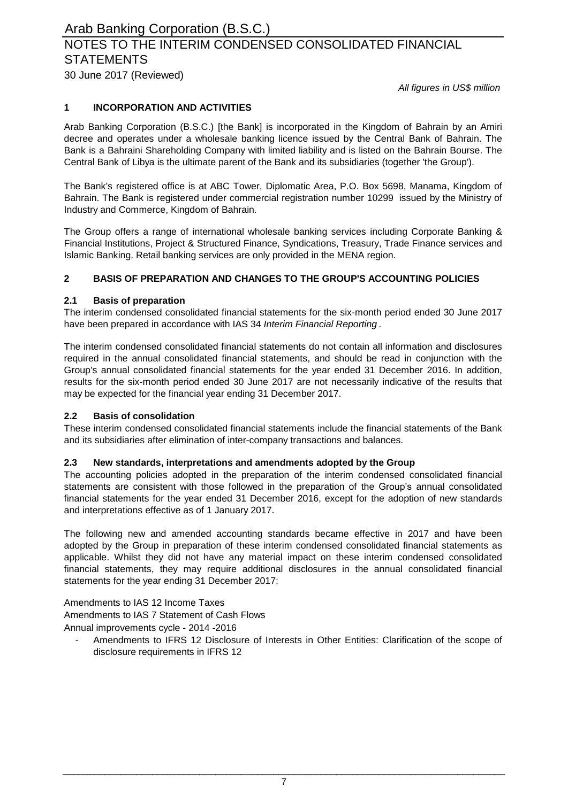### 30 June 2017 (Reviewed) NOTES TO THE INTERIM CONDENSED CONSOLIDATED FINANCIAL **STATEMENTS**

*All figures in US\$ million*

#### **1 INCORPORATION AND ACTIVITIES**

Arab Banking Corporation (B.S.C.) [the Bank] is incorporated in the Kingdom of Bahrain by an Amiri decree and operates under a wholesale banking licence issued by the Central Bank of Bahrain. The Bank is a Bahraini Shareholding Company with limited liability and is listed on the Bahrain Bourse. The Central Bank of Libya is the ultimate parent of the Bank and its subsidiaries (together 'the Group').

The Bank's registered office is at ABC Tower, Diplomatic Area, P.O. Box 5698, Manama, Kingdom of Bahrain. The Bank is registered under commercial registration number 10299 issued by the Ministry of Industry and Commerce, Kingdom of Bahrain.

The Group offers a range of international wholesale banking services including Corporate Banking & Financial Institutions, Project & Structured Finance, Syndications, Treasury, Trade Finance services and Islamic Banking. Retail banking services are only provided in the MENA region.

#### **2 BASIS OF PREPARATION AND CHANGES TO THE GROUP'S ACCOUNTING POLICIES**

#### **2.1 Basis of preparation**

The interim condensed consolidated financial statements for the six-month period ended 30 June 2017 have been prepared in accordance with IAS 34 *Interim Financial Reporting* .

The interim condensed consolidated financial statements do not contain all information and disclosures required in the annual consolidated financial statements, and should be read in conjunction with the Group's annual consolidated financial statements for the year ended 31 December 2016. In addition, results for the six-month period ended 30 June 2017 are not necessarily indicative of the results that may be expected for the financial year ending 31 December 2017.

#### **2.2 Basis of consolidation**

These interim condensed consolidated financial statements include the financial statements of the Bank and its subsidiaries after elimination of inter-company transactions and balances.

#### **2.3 New standards, interpretations and amendments adopted by the Group**

The accounting policies adopted in the preparation of the interim condensed consolidated financial statements are consistent with those followed in the preparation of the Group's annual consolidated financial statements for the year ended 31 December 2016, except for the adoption of new standards and interpretations effective as of 1 January 2017.

The following new and amended accounting standards became effective in 2017 and have been adopted by the Group in preparation of these interim condensed consolidated financial statements as applicable. Whilst they did not have any material impact on these interim condensed consolidated financial statements, they may require additional disclosures in the annual consolidated financial statements for the year ending 31 December 2017:

Amendments to IAS 12 Income Taxes Amendments to IAS 7 Statement of Cash Flows Annual improvements cycle - 2014 -2016

Amendments to IFRS 12 Disclosure of Interests in Other Entities: Clarification of the scope of disclosure requirements in IFRS 12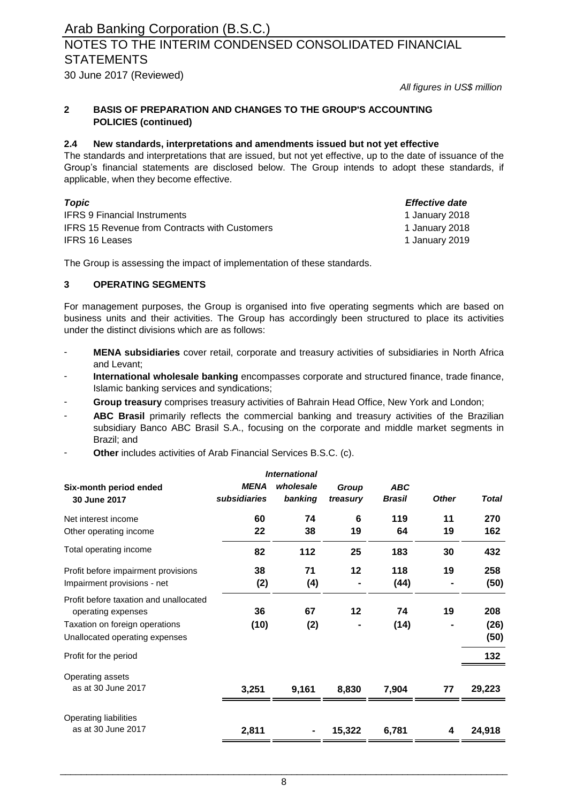### NOTES TO THE INTERIM CONDENSED CONSOLIDATED FINANCIAL **STATEMENTS**

30 June 2017 (Reviewed)

*All figures in US\$ million*

#### **2 BASIS OF PREPARATION AND CHANGES TO THE GROUP'S ACCOUNTING POLICIES (continued)**

#### **2.4 New standards, interpretations and amendments issued but not yet effective**

The standards and interpretations that are issued, but not yet effective, up to the date of issuance of the Group's financial statements are disclosed below. The Group intends to adopt these standards, if applicable, when they become effective.

| Topic                                                | Effective date |
|------------------------------------------------------|----------------|
| <b>IFRS 9 Financial Instruments</b>                  | 1 January 2018 |
| <b>IFRS 15 Revenue from Contracts with Customers</b> | 1 January 2018 |
| <b>IFRS 16 Leases</b>                                | 1 January 2019 |

The Group is assessing the impact of implementation of these standards.

#### **3 OPERATING SEGMENTS**

For management purposes, the Group is organised into five operating segments which are based on business units and their activities. The Group has accordingly been structured to place its activities under the distinct divisions which are as follows:

- **MENA subsidiaries** cover retail, corporate and treasury activities of subsidiaries in North Africa and Levant;
- **International wholesale banking** encompasses corporate and structured finance, trade finance, Islamic banking services and syndications;
- **Group treasury** comprises treasury activities of Bahrain Head Office, New York and London;
- **ABC Brasil** primarily reflects the commercial banking and treasury activities of the Brazilian subsidiary Banco ABC Brasil S.A., focusing on the corporate and middle market segments in Brazil; and
- **Other** includes activities of Arab Financial Services B.S.C. (c).

|                                                                    |                             | <b>International</b> |                   |                             |              |              |
|--------------------------------------------------------------------|-----------------------------|----------------------|-------------------|-----------------------------|--------------|--------------|
| Six-month period ended<br>30 June 2017                             | <b>MENA</b><br>subsidiaries | wholesale<br>banking | Group<br>treasury | <b>ABC</b><br><b>Brasil</b> | <b>Other</b> | <b>Total</b> |
| Net interest income                                                | 60                          | 74                   | 6                 | 119                         | 11           | 270          |
| Other operating income                                             | 22                          | 38                   | 19                | 64                          | 19           | 162          |
| Total operating income                                             | 82                          | 112                  | 25                | 183                         | 30           | 432          |
| Profit before impairment provisions<br>Impairment provisions - net | 38<br>(2)                   | 71<br>(4)            | 12                | 118<br>(44)                 | 19           | 258<br>(50)  |
| Profit before taxation and unallocated<br>operating expenses       | 36                          | 67                   | 12                | 74                          | 19           | 208          |
| Taxation on foreign operations<br>Unallocated operating expenses   | (10)                        | (2)                  | ٠                 | (14)                        |              | (26)<br>(50) |
| Profit for the period                                              |                             |                      |                   |                             |              | 132          |
| Operating assets<br>as at 30 June 2017                             | 3,251                       | 9,161                | 8,830             | 7,904                       | 77           | 29,223       |
| Operating liabilities<br>as at 30 June 2017                        | 2,811                       |                      | 15,322            | 6,781                       | 4            | 24,918       |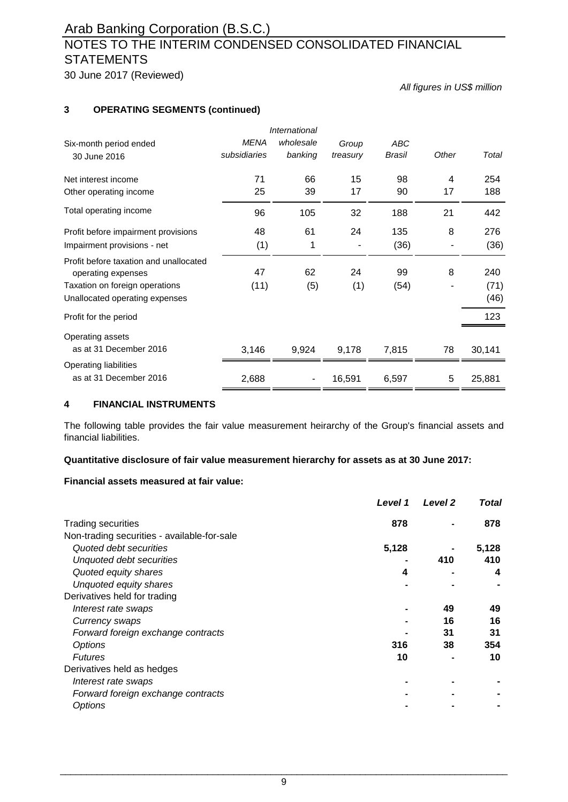### NOTES TO THE INTERIM CONDENSED CONSOLIDATED FINANCIAL **STATEMENTS**

30 June 2017 (Reviewed)

*All figures in US\$ million*

#### **3 OPERATING SEGMENTS (continued)**

|              | International |          |            |       |        |
|--------------|---------------|----------|------------|-------|--------|
| <b>MENA</b>  | wholesale     | Group    | <b>ABC</b> |       |        |
| subsidiaries | banking       | treasury | Brasil     | Other | Total  |
| 71           | 66            | 15       | 98         | 4     | 254    |
| 25           | 39            | 17       | 90         | 17    | 188    |
| 96           | 105           | 32       | 188        | 21    | 442    |
| 48           | 61            | 24       | 135        | 8     | 276    |
| (1)          | 1             |          | (36)       |       | (36)   |
| 47           | 62            | 24       | 99         | 8     | 240    |
| (11)         | (5)           | (1)      | (54)       |       | (71)   |
|              |               |          |            |       | (46)   |
|              |               |          |            |       | 123    |
|              |               |          |            |       |        |
| 3,146        | 9,924         | 9,178    | 7,815      | 78    | 30,141 |
|              |               |          |            |       |        |
| 2,688        |               | 16,591   | 6,597      | 5     | 25,881 |
|              |               |          |            |       |        |

#### **4 FINANCIAL INSTRUMENTS**

The following table provides the fair value measurement heirarchy of the Group's financial assets and financial liabilities.

#### **Quantitative disclosure of fair value measurement hierarchy for assets as at 30 June 2017:**

#### **Financial assets measured at fair value:**

| Level 1                                     |     | Level <sub>2</sub> | <b>Total</b> |
|---------------------------------------------|-----|--------------------|--------------|
| <b>Trading securities</b>                   | 878 |                    | 878          |
| Non-trading securities - available-for-sale |     |                    |              |
| 5,128<br>Quoted debt securities             |     |                    | 5,128        |
| Unquoted debt securities                    |     | 410                | 410          |
| Quoted equity shares                        | 4   |                    | 4            |
| Unquoted equity shares                      |     |                    |              |
| Derivatives held for trading                |     |                    |              |
| Interest rate swaps                         |     | 49                 | 49           |
| Currency swaps                              |     | 16                 | 16           |
| Forward foreign exchange contracts          |     | 31                 | 31           |
| Options                                     | 316 | 38                 | 354          |
| <b>Futures</b>                              | 10  |                    | 10           |
| Derivatives held as hedges                  |     |                    |              |
| Interest rate swaps                         |     |                    |              |
| Forward foreign exchange contracts          |     |                    |              |
| <b>Options</b>                              |     |                    |              |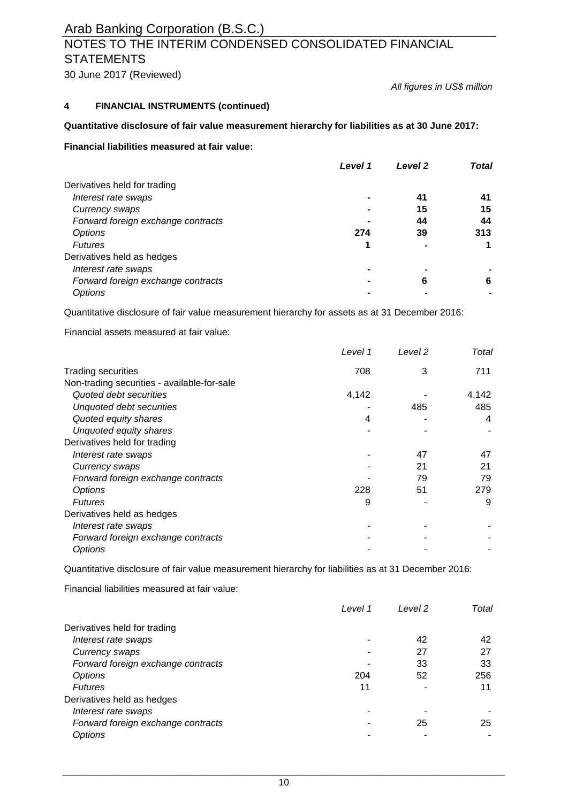### NOTES TO THE INTERIM CONDENSED CONSOLIDATED FINANCIAL **STATEMENTS**

30 June 2017 (Reviewed)

*All figures in US\$ million*

#### **4 FINANCIAL INSTRUMENTS (continued)**

#### **Quantitative disclosure of fair value measurement hierarchy for liabilities as at 30 June 2017:**

#### **Financial liabilities measured at fair value:**

|                                    | Level 1 | Level 2 | Total |
|------------------------------------|---------|---------|-------|
| Derivatives held for trading       |         |         |       |
| Interest rate swaps                |         | 41      | 41    |
| Currency swaps                     |         | 15      | 15    |
| Forward foreign exchange contracts |         | 44      | 44    |
| Options                            | 274     | 39      | 313   |
| <b>Futures</b>                     |         |         |       |
| Derivatives held as hedges         |         |         |       |
| Interest rate swaps                |         |         |       |
| Forward foreign exchange contracts |         | 6       | 6     |
| Options                            |         |         |       |

Quantitative disclosure of fair value measurement hierarchy for assets as at 31 December 2016:

Financial assets measured at fair value:

|                                             | Level 1 | Level 2 | Total |
|---------------------------------------------|---------|---------|-------|
| <b>Trading securities</b>                   | 708     | 3       | 711   |
| Non-trading securities - available-for-sale |         |         |       |
| Quoted debt securities                      | 4,142   |         | 4,142 |
| Unquoted debt securities                    |         | 485     | 485   |
| Quoted equity shares                        | 4       |         | 4     |
| Unquoted equity shares                      |         |         |       |
| Derivatives held for trading                |         |         |       |
| Interest rate swaps                         |         | 47      | 47    |
| Currency swaps                              |         | 21      | 21    |
| Forward foreign exchange contracts          |         | 79      | 79    |
| Options                                     | 228     | 51      | 279   |
| <b>Futures</b>                              | 9       |         | 9     |
| Derivatives held as hedges                  |         |         |       |
| Interest rate swaps                         |         |         |       |
| Forward foreign exchange contracts          |         |         |       |
| <b>Options</b>                              |         |         |       |

Quantitative disclosure of fair value measurement hierarchy for liabilities as at 31 December 2016:

Financial liabilities measured at fair value:

|                                    | Level 1 | Level 2 | Total |
|------------------------------------|---------|---------|-------|
| Derivatives held for trading       |         |         |       |
| Interest rate swaps                |         | 42      | 42    |
| Currency swaps                     |         | 27      | 27    |
| Forward foreign exchange contracts |         | 33      | 33    |
| Options                            | 204     | 52      | 256   |
| <b>Futures</b>                     | 11      |         | 11    |
| Derivatives held as hedges         |         |         |       |
| Interest rate swaps                |         |         |       |
| Forward foreign exchange contracts |         | 25      | 25    |
| Options                            |         |         |       |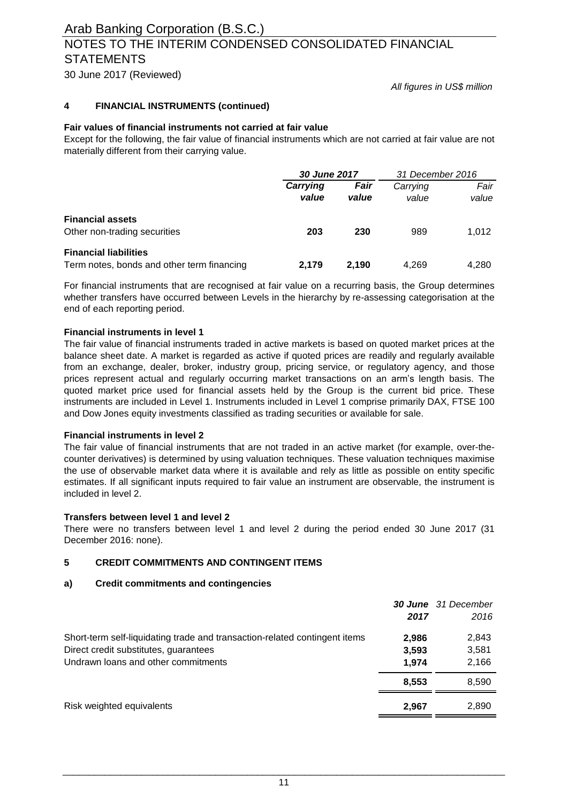### NOTES TO THE INTERIM CONDENSED CONSOLIDATED FINANCIAL **STATEMENTS**

30 June 2017 (Reviewed)

*All figures in US\$ million*

#### **4 FINANCIAL INSTRUMENTS (continued)**

#### **Fair values of financial instruments not carried at fair value**

Except for the following, the fair value of financial instruments which are not carried at fair value are not materially different from their carrying value.

|                                            | 30 June 2017 |       | 31 December 2016 |       |
|--------------------------------------------|--------------|-------|------------------|-------|
|                                            | Carrying     | Fair  | Carrying         | Fair  |
|                                            | value        | value | value            | value |
| <b>Financial assets</b>                    |              |       |                  |       |
| Other non-trading securities               | 203          | 230   | 989              | 1.012 |
| <b>Financial liabilities</b>               |              |       |                  |       |
| Term notes, bonds and other term financing | 2.179        | 2.190 | 4.269            | 4.280 |

For financial instruments that are recognised at fair value on a recurring basis, the Group determines whether transfers have occurred between Levels in the hierarchy by re-assessing categorisation at the end of each reporting period.

#### **Financial instruments in level 1**

The fair value of financial instruments traded in active markets is based on quoted market prices at the balance sheet date. A market is regarded as active if quoted prices are readily and regularly available from an exchange, dealer, broker, industry group, pricing service, or regulatory agency, and those prices represent actual and regularly occurring market transactions on an arm's length basis. The quoted market price used for financial assets held by the Group is the current bid price. These instruments are included in Level 1. Instruments included in Level 1 comprise primarily DAX, FTSE 100 and Dow Jones equity investments classified as trading securities or available for sale.

#### **Financial instruments in level 2**

The fair value of financial instruments that are not traded in an active market (for example, over-thecounter derivatives) is determined by using valuation techniques. These valuation techniques maximise the use of observable market data where it is available and rely as little as possible on entity specific estimates. If all significant inputs required to fair value an instrument are observable, the instrument is included in level 2.

#### **Transfers between level 1 and level 2**

There were no transfers between level 1 and level 2 during the period ended 30 June 2017 (31 December 2016: none).

#### **5 CREDIT COMMITMENTS AND CONTINGENT ITEMS**

#### **a) Credit commitments and contingencies**

|                                                                            |       | <b>30 June</b> 31 December |
|----------------------------------------------------------------------------|-------|----------------------------|
|                                                                            | 2017  | 2016                       |
| Short-term self-liquidating trade and transaction-related contingent items | 2.986 | 2,843                      |
| Direct credit substitutes, guarantees                                      | 3,593 | 3,581                      |
| Undrawn loans and other commitments                                        | 1,974 | 2,166                      |
|                                                                            | 8.553 | 8,590                      |
| Risk weighted equivalents                                                  | 2.967 | 2,890                      |